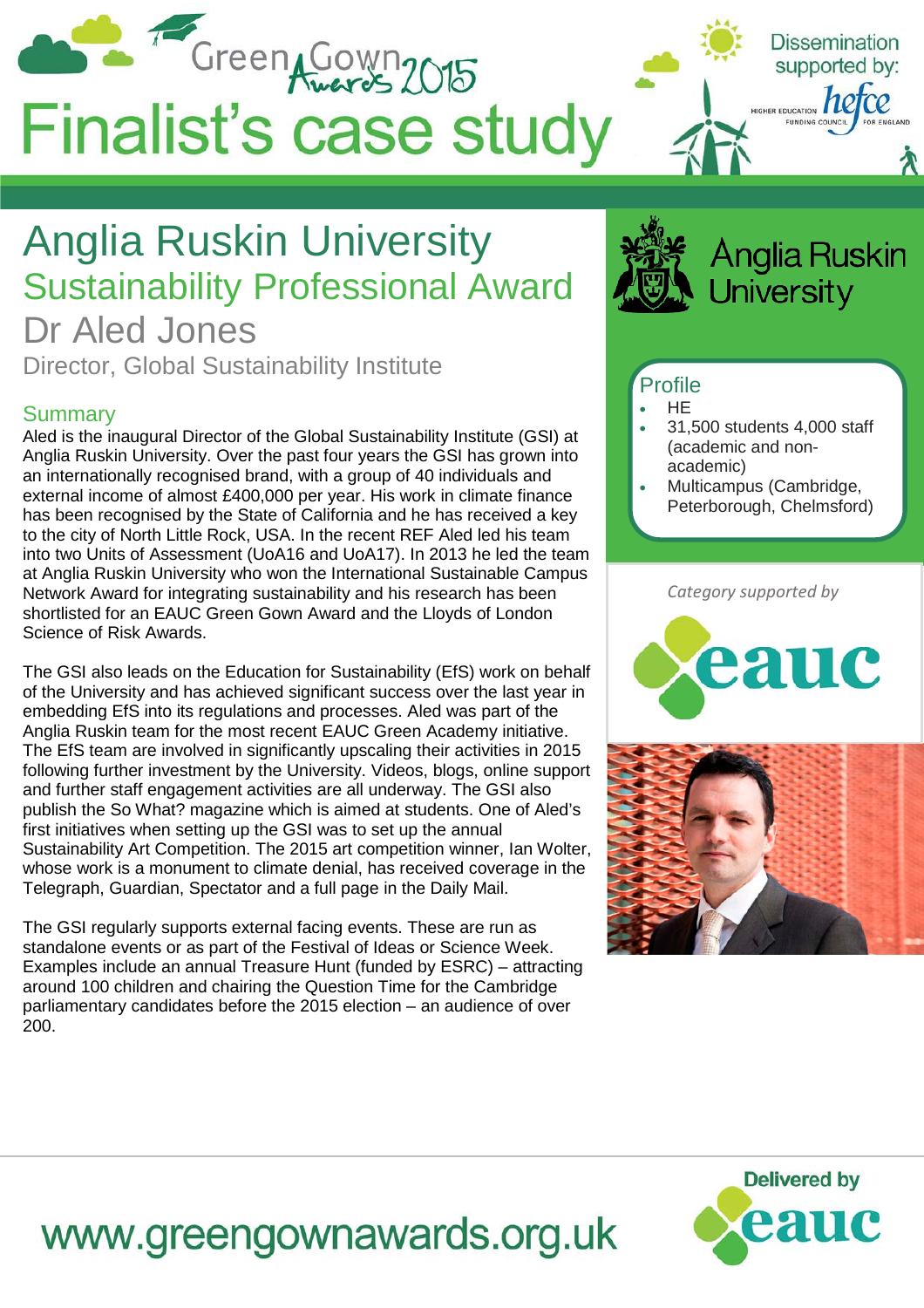

## Anglia Ruskin University Sustainability Professional Award

Dr Aled Jones Director, Global Sustainability Institute

#### Summary

Aled is the inaugural Director of the Global Sustainability Institute (GSI) at Anglia Ruskin University. Over the past four years the GSI has grown into an internationally recognised brand, with a group of 40 individuals and external income of almost £400,000 per year. His work in climate finance has been recognised by the State of California and he has received a key to the city of North Little Rock, USA. In the recent REF Aled led his team into two Units of Assessment (UoA16 and UoA17). In 2013 he led the team at Anglia Ruskin University who won the International Sustainable Campus Network Award for integrating sustainability and his research has been shortlisted for an EAUC Green Gown Award and the Lloyds of London Science of Risk Awards.

The GSI also leads on the Education for Sustainability (EfS) work on behalf of the University and has achieved significant success over the last year in embedding EfS into its regulations and processes. Aled was part of the Anglia Ruskin team for the most recent EAUC Green Academy initiative. The EfS team are involved in significantly upscaling their activities in 2015 following further investment by the University. Videos, blogs, online support and further staff engagement activities are all underway. The GSI also publish the So What? magazine which is aimed at students. One of Aled's first initiatives when setting up the GSI was to set up the annual Sustainability Art Competition. The 2015 art competition winner, Ian Wolter, whose work is a monument to climate denial, has received coverage in the Telegraph, Guardian, Spectator and a full page in the Daily Mail.

The GSI regularly supports external facing events. These are run as standalone events or as part of the Festival of Ideas or Science Week. Examples include an annual Treasure Hunt (funded by ESRC) – attracting around 100 children and chairing the Question Time for the Cambridge parliamentary candidates before the 2015 election – an audience of over 200.

**Anglia Ruskin Jniversity** 

### **Profile**

- HE
- 31,500 students 4,000 staff (academic and nonacademic)
- Multicampus (Cambridge, Peterborough, Chelmsford)

*Category supported by*







# www.greengownawards.org.uk